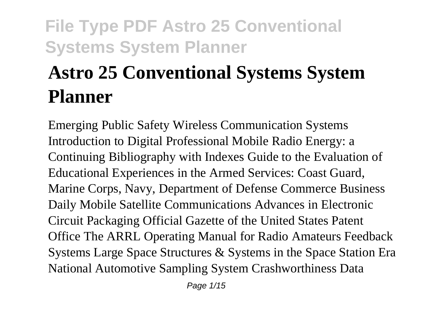# **Astro 25 Conventional Systems System Planner**

Emerging Public Safety Wireless Communication Systems Introduction to Digital Professional Mobile Radio Energy: a Continuing Bibliography with Indexes Guide to the Evaluation of Educational Experiences in the Armed Services: Coast Guard, Marine Corps, Navy, Department of Defense Commerce Business Daily Mobile Satellite Communications Advances in Electronic Circuit Packaging Official Gazette of the United States Patent Office The ARRL Operating Manual for Radio Amateurs Feedback Systems Large Space Structures & Systems in the Space Station Era National Automotive Sampling System Crashworthiness Data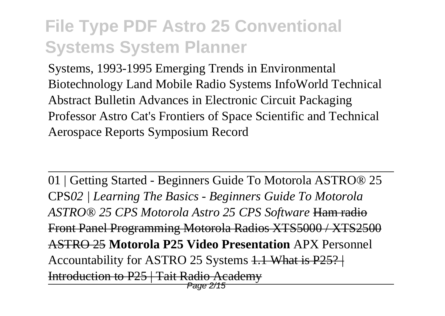Systems, 1993-1995 Emerging Trends in Environmental Biotechnology Land Mobile Radio Systems InfoWorld Technical Abstract Bulletin Advances in Electronic Circuit Packaging Professor Astro Cat's Frontiers of Space Scientific and Technical Aerospace Reports Symposium Record

01 | Getting Started - Beginners Guide To Motorola ASTRO® 25 CPS*02 | Learning The Basics - Beginners Guide To Motorola ASTRO® 25 CPS Motorola Astro 25 CPS Software* Ham radio Front Panel Programming Motorola Radios XTS5000 / XTS2500 ASTRO 25 **Motorola P25 Video Presentation** APX Personnel Accountability for ASTRO 25 Systems 1.1 What is P25?  $\pm$ Introduction to P25 | Tait Radio Academy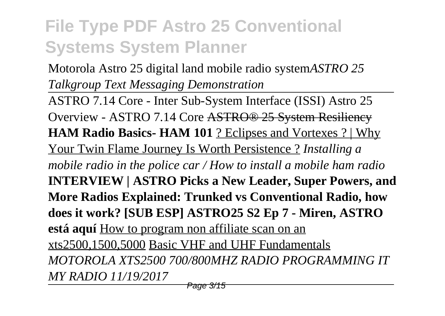Motorola Astro 25 digital land mobile radio system*ASTRO 25 Talkgroup Text Messaging Demonstration*

ASTRO 7.14 Core - Inter Sub-System Interface (ISSI) Astro 25 Overview - ASTRO 7.14 Core ASTRO® 25 System Resiliency **HAM Radio Basics- HAM 101** ? Eclipses and Vortexes ? | Why Your Twin Flame Journey Is Worth Persistence ? *Installing a mobile radio in the police car / How to install a mobile ham radio* **INTERVIEW | ASTRO Picks a New Leader, Super Powers, and More Radios Explained: Trunked vs Conventional Radio, how does it work? [SUB ESP] ASTRO25 S2 Ep 7 - Miren, ASTRO está aquí** How to program non affiliate scan on an xts2500,1500,5000 Basic VHF and UHF Fundamentals *MOTOROLA XTS2500 700/800MHZ RADIO PROGRAMMING IT MY RADIO 11/19/2017*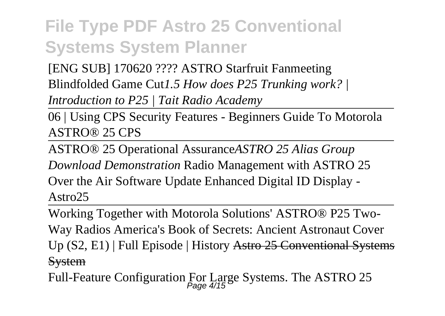[ENG SUB] 170620 ???? ASTRO Starfruit Fanmeeting Blindfolded Game Cut*1.5 How does P25 Trunking work? |*

*Introduction to P25 | Tait Radio Academy*

06 | Using CPS Security Features - Beginners Guide To Motorola ASTRO® 25 CPS

ASTRO® 25 Operational Assurance*ASTRO 25 Alias Group Download Demonstration* Radio Management with ASTRO 25 Over the Air Software Update Enhanced Digital ID Display - Astro25

Working Together with Motorola Solutions' ASTRO® P25 Two-Way Radios America's Book of Secrets: Ancient Astronaut Cover Up (S2, E1) | Full Episode | History Astro 25 Conventional Systems **System** 

Full-Feature Configuration For Large Systems. The ASTRO 25 Page 4/15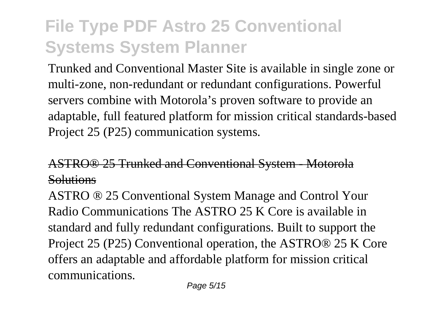Trunked and Conventional Master Site is available in single zone or multi-zone, non-redundant or redundant configurations. Powerful servers combine with Motorola's proven software to provide an adaptable, full featured platform for mission critical standards-based Project 25 (P25) communication systems.

### ASTRO® 25 Trunked and Conventional System - Motorola **Solutions**

ASTRO ® 25 Conventional System Manage and Control Your Radio Communications The ASTRO 25 K Core is available in standard and fully redundant configurations. Built to support the Project 25 (P25) Conventional operation, the ASTRO® 25 K Core offers an adaptable and affordable platform for mission critical communications.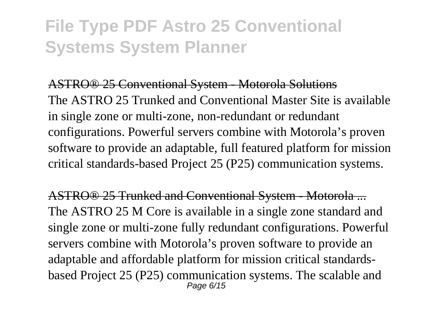ASTRO® 25 Conventional System - Motorola Solutions The ASTRO 25 Trunked and Conventional Master Site is available in single zone or multi-zone, non-redundant or redundant configurations. Powerful servers combine with Motorola's proven software to provide an adaptable, full featured platform for mission critical standards-based Project 25 (P25) communication systems.

ASTRO® 25 Trunked and Conventional System - Motorola ... The ASTRO 25 M Core is available in a single zone standard and single zone or multi-zone fully redundant configurations. Powerful servers combine with Motorola's proven software to provide an adaptable and affordable platform for mission critical standardsbased Project 25 (P25) communication systems. The scalable and Page 6/15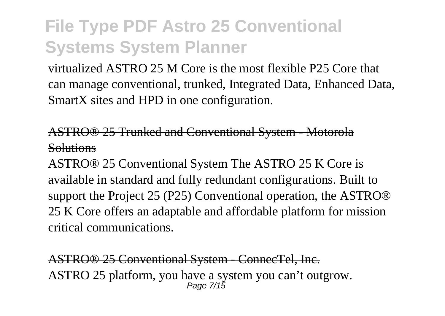virtualized ASTRO 25 M Core is the most flexible P25 Core that can manage conventional, trunked, Integrated Data, Enhanced Data, SmartX sites and HPD in one configuration.

ASTRO® 25 Trunked and Conventional System - Motorola **Solutions** 

ASTRO® 25 Conventional System The ASTRO 25 K Core is available in standard and fully redundant configurations. Built to support the Project 25 (P25) Conventional operation, the ASTRO® 25 K Core offers an adaptable and affordable platform for mission critical communications.

ASTRO® 25 Conventional System - ConnecTel, Inc. ASTRO 25 platform, you have a system you can't outgrow. Page 7/15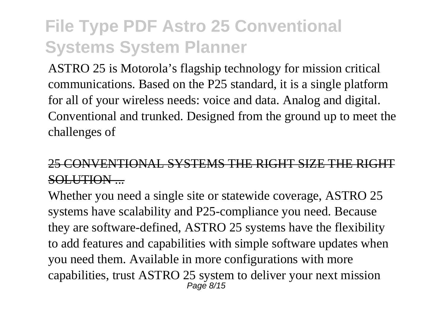ASTRO 25 is Motorola's flagship technology for mission critical communications. Based on the P25 standard, it is a single platform for all of your wireless needs: voice and data. Analog and digital. Conventional and trunked. Designed from the ground up to meet the challenges of

### 25 CONVENTIONAL SYSTEMS THE RIGHT SIZE THE RIGHT SOLUTION ...

Whether you need a single site or statewide coverage, ASTRO 25 systems have scalability and P25-compliance you need. Because they are software-defined, ASTRO 25 systems have the flexibility to add features and capabilities with simple software updates when you need them. Available in more configurations with more capabilities, trust ASTRO 25 system to deliver your next mission Page 8/15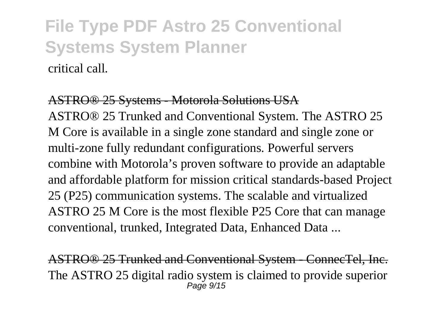### **File Type PDF Astro 25 Conventional Systems System Planner** critical call.

#### ASTRO® 25 Systems - Motorola Solutions USA

ASTRO® 25 Trunked and Conventional System. The ASTRO 25 M Core is available in a single zone standard and single zone or multi-zone fully redundant configurations. Powerful servers combine with Motorola's proven software to provide an adaptable and affordable platform for mission critical standards-based Project 25 (P25) communication systems. The scalable and virtualized ASTRO 25 M Core is the most flexible P25 Core that can manage conventional, trunked, Integrated Data, Enhanced Data ...

ASTRO® 25 Trunked and Conventional System - ConnecTel, Inc. The ASTRO 25 digital radio system is claimed to provide superior Page 9/15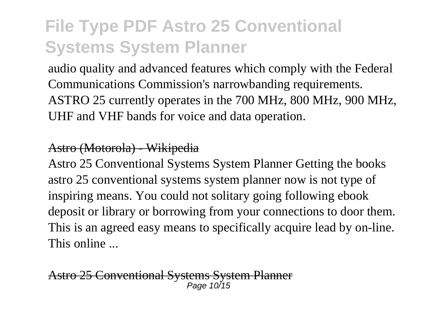audio quality and advanced features which comply with the Federal Communications Commission's narrowbanding requirements. ASTRO 25 currently operates in the 700 MHz, 800 MHz, 900 MHz, UHF and VHF bands for voice and data operation.

#### Astro (Motorola) - Wikipedia

Astro 25 Conventional Systems System Planner Getting the books astro 25 conventional systems system planner now is not type of inspiring means. You could not solitary going following ebook deposit or library or borrowing from your connections to door them. This is an agreed easy means to specifically acquire lead by on-line. This online ...

25 Conventional Systems System Planner Page 10/15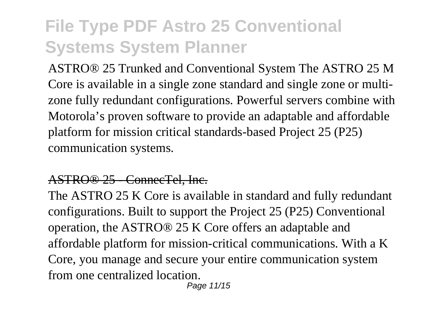ASTRO® 25 Trunked and Conventional System The ASTRO 25 M Core is available in a single zone standard and single zone or multizone fully redundant configurations. Powerful servers combine with Motorola's proven software to provide an adaptable and affordable platform for mission critical standards-based Project 25 (P25) communication systems.

#### ASTRO® 25 - ConnecTel, Inc.

The ASTRO 25 K Core is available in standard and fully redundant configurations. Built to support the Project 25 (P25) Conventional operation, the ASTRO® 25 K Core offers an adaptable and affordable platform for mission-critical communications. With a K Core, you manage and secure your entire communication system from one centralized location.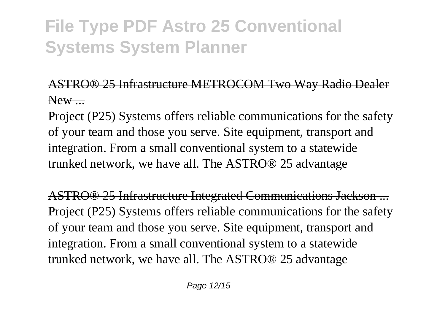### ASTRO® 25 Infrastructure METROCOM Two Way Radio Dealer New  $\qquad$

Project (P25) Systems offers reliable communications for the safety of your team and those you serve. Site equipment, transport and integration. From a small conventional system to a statewide trunked network, we have all. The ASTRO® 25 advantage

ASTRO® 25 Infrastructure Integrated Communications Jackson ... Project (P25) Systems offers reliable communications for the safety of your team and those you serve. Site equipment, transport and integration. From a small conventional system to a statewide trunked network, we have all. The ASTRO® 25 advantage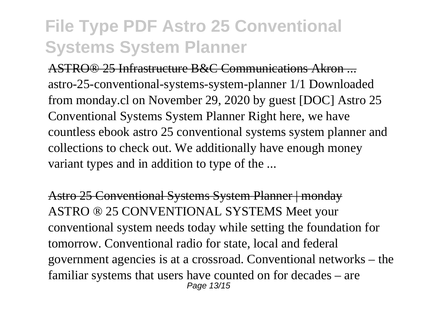ASTRO® 25 Infrastructure B&C Communications Akron ... astro-25-conventional-systems-system-planner 1/1 Downloaded from monday.cl on November 29, 2020 by guest [DOC] Astro 25 Conventional Systems System Planner Right here, we have countless ebook astro 25 conventional systems system planner and collections to check out. We additionally have enough money variant types and in addition to type of the ...

Astro 25 Conventional Systems System Planner | monday ASTRO ® 25 CONVENTIONAL SYSTEMS Meet your conventional system needs today while setting the foundation for tomorrow. Conventional radio for state, local and federal government agencies is at a crossroad. Conventional networks – the familiar systems that users have counted on for decades – are Page 13/15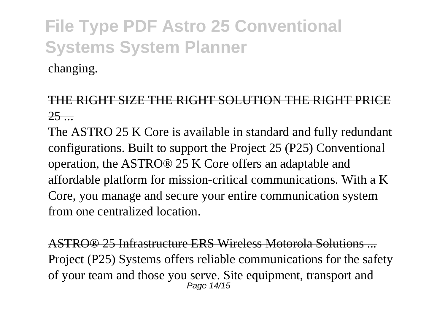changing.

### THE RIGHT SIZE THE RIGHT SOLUTION THE RIGHT PRICE  $25 -$

The ASTRO 25 K Core is available in standard and fully redundant configurations. Built to support the Project 25 (P25) Conventional operation, the ASTRO® 25 K Core offers an adaptable and affordable platform for mission-critical communications. With a K Core, you manage and secure your entire communication system from one centralized location.

ASTRO® 25 Infrastructure ERS Wireless Motorola Solutions ... Project (P25) Systems offers reliable communications for the safety of your team and those you serve. Site equipment, transport and Page 14/15